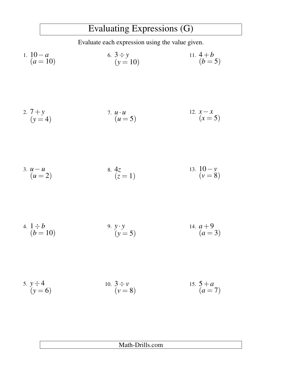## Evaluating Expressions (G)

Evaluate each expression using the value given.

1. 
$$
10-a
$$
  
\n $(a = 10)$   
\n6.  $3 \div y$   
\n $(y = 10)$   
\n11.  $4+b$   
\n $(b = 5)$ 

2. 
$$
7+y
$$
  
\n $(y=4)$   
\n3.  $u \cdot u$   
\n $(u=5)$   
\n4.  $x-x$   
\n $(x=5)$ 

3. 
$$
u-u
$$
  
\n $(u=2)$  8.  $4z$   
\n $(z=1)$  13.  $10-v$   
\n $(v=8)$ 

4. 
$$
1 \div b
$$
  
\n $(b = 10)$   
\n9.  $y \cdot y$   
\n $(y = 5)$   
\n14.  $a + 9$   
\n $(a = 3)$ 

5. 
$$
y \div 4
$$
  
\n $(y = 6)$   
\n10.  $3 \div v$   
\n $(v = 8)$   
\n15.  $5 + a$   
\n $(a = 7)$